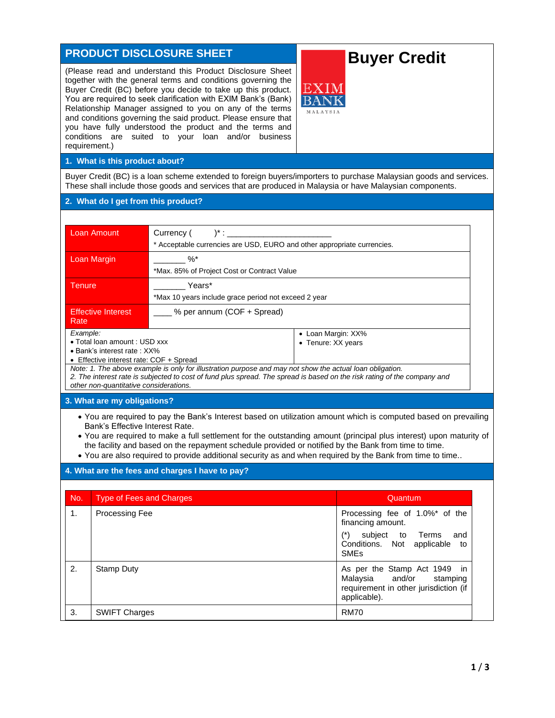# **PRODUCT DISCLOSURE SHEET**

(Please read and understand this Product Disclosure Sheet together with the general terms and conditions governing the Buyer Credit (BC) before you decide to take up this product. You are required to seek clarification with EXIM Bank's (Bank) Relationship Manager assigned to you on any of the terms and conditions governing the said product. Please ensure that you have fully understood the product and the terms and conditions are suited to your loan and/or business requirement.)

# **Buyer Credit**

**1. What is this product about?**

Buyer Credit (BC) is a loan scheme extended to foreign buyers/importers to purchase Malaysian goods and services. These shall include those goods and services that are produced in Malaysia or have Malaysian components.

#### **2. What do I get from this product?**

| Loan Amount                                                                                                                              | Currency (<br>$^{\ast}$ :                                               |                                          |  |
|------------------------------------------------------------------------------------------------------------------------------------------|-------------------------------------------------------------------------|------------------------------------------|--|
|                                                                                                                                          | * Acceptable currencies are USD, EURO and other appropriate currencies. |                                          |  |
| Loan Margin                                                                                                                              | $\%$                                                                    |                                          |  |
|                                                                                                                                          | *Max. 85% of Project Cost or Contract Value                             |                                          |  |
| Tenure.                                                                                                                                  | Years*                                                                  |                                          |  |
|                                                                                                                                          | *Max 10 years include grace period not exceed 2 year                    |                                          |  |
| <b>Effective Interest</b><br>Rate                                                                                                        | % per annum (COF + Spread)                                              |                                          |  |
| Example:<br>• Total loan amount : USD xxx<br>• Bank's interest rate: XX%<br>$F$ $F$ fronting interact rotal $C$ $\cap$ $F$ $F$ $S$ prood |                                                                         | • Loan Margin: XX%<br>• Tenure: XX years |  |

• Effective interest rate: COF + Spread

*Note: 1. The above example is only for illustration purpose and may not show the actual loan obligation. 2. The interest rate is subjected to cost of fund plus spread. The spread is based on the risk rating of the company and other non-quantitative considerations.*

#### **3. What are my obligations?**

- You are required to pay the Bank's Interest based on utilization amount which is computed based on prevailing Bank's Effective Interest Rate.
- You are required to make a full settlement for the outstanding amount (principal plus interest) upon maturity of the facility and based on the repayment schedule provided or notified by the Bank from time to time.
- You are also required to provide additional security as and when required by the Bank from time to time..

#### **4. What are the fees and charges I have to pay?**

| No. | <b>Type of Fees and Charges</b> | Quantum                                                                                                                                             |
|-----|---------------------------------|-----------------------------------------------------------------------------------------------------------------------------------------------------|
| 1.  | Processing Fee                  | Processing fee of 1.0%* of the<br>financing amount.<br>subject to Terms<br>(*)<br>and<br>Conditions. Not applicable<br>to<br><b>SME<sub>s</sub></b> |
| 2.  | Stamp Duty                      | As per the Stamp Act 1949 in<br>Malaysia and/or stamping<br>requirement in other jurisdiction (if<br>applicable).                                   |
| 3.  | <b>SWIFT Charges</b>            | <b>RM70</b>                                                                                                                                         |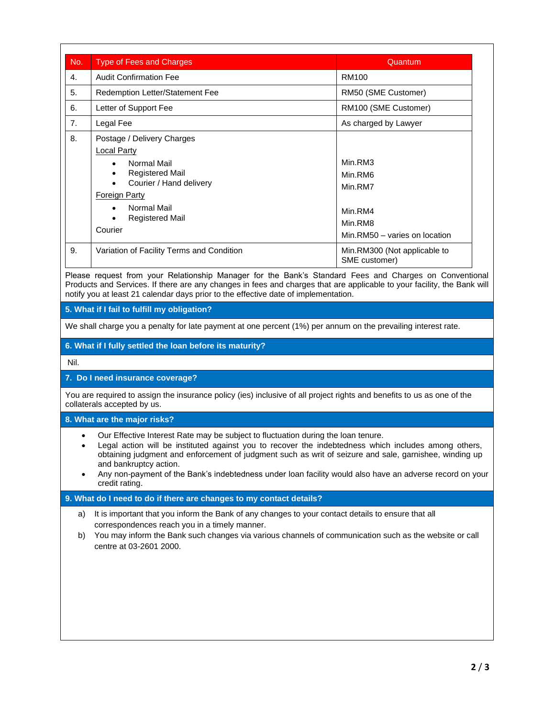| No. | <b>Type of Fees and Charges</b>                                                                                                                                                                                                              | Quantum                                                                              |
|-----|----------------------------------------------------------------------------------------------------------------------------------------------------------------------------------------------------------------------------------------------|--------------------------------------------------------------------------------------|
| 4.  | <b>Audit Confirmation Fee</b>                                                                                                                                                                                                                | RM100                                                                                |
| 5.  | Redemption Letter/Statement Fee                                                                                                                                                                                                              | RM50 (SME Customer)                                                                  |
| 6.  | Letter of Support Fee                                                                                                                                                                                                                        | RM100 (SME Customer)                                                                 |
| 7.  | Legal Fee                                                                                                                                                                                                                                    | As charged by Lawyer                                                                 |
| 8.  | Postage / Delivery Charges<br><b>Local Party</b><br>Normal Mail<br>$\bullet$<br><b>Registered Mail</b><br>٠<br>Courier / Hand delivery<br><b>Foreign Party</b><br>Normal Mail<br>$\bullet$<br><b>Registered Mail</b><br>$\bullet$<br>Courier | Min.RM3<br>Min.RM6<br>Min.RM7<br>Min.RM4<br>Min.RM8<br>Min.RM50 - varies on location |
| 9.  | Variation of Facility Terms and Condition                                                                                                                                                                                                    | Min.RM300 (Not applicable to<br>SME customer)                                        |

Please request from your Relationship Manager for the Bank's Standard Fees and Charges on Conventional Products and Services. If there are any changes in fees and charges that are applicable to your facility, the Bank will notify you at least 21 calendar days prior to the effective date of implementation.

**5. What if I fail to fulfill my obligation?**

We shall charge you a penalty for late payment at one percent (1%) per annum on the prevailing interest rate.

# **6. What if I fully settled the loan before its maturity?**

Nil.

# **7. Do I need insurance coverage?**

You are required to assign the insurance policy (ies) inclusive of all project rights and benefits to us as one of the collaterals accepted by us.

**8. What are the major risks?**

- Our Effective Interest Rate may be subject to fluctuation during the loan tenure.
- Legal action will be instituted against you to recover the indebtedness which includes among others, obtaining judgment and enforcement of judgment such as writ of seizure and sale, garnishee, winding up and bankruptcy action.
- Any non-payment of the Bank's indebtedness under loan facility would also have an adverse record on your credit rating.

# **9. What do I need to do if there are changes to my contact details?**

- a) It is important that you inform the Bank of any changes to your contact details to ensure that all correspondences reach you in a timely manner.
- b) You may inform the Bank such changes via various channels of communication such as the website or call centre at 03-2601 2000.